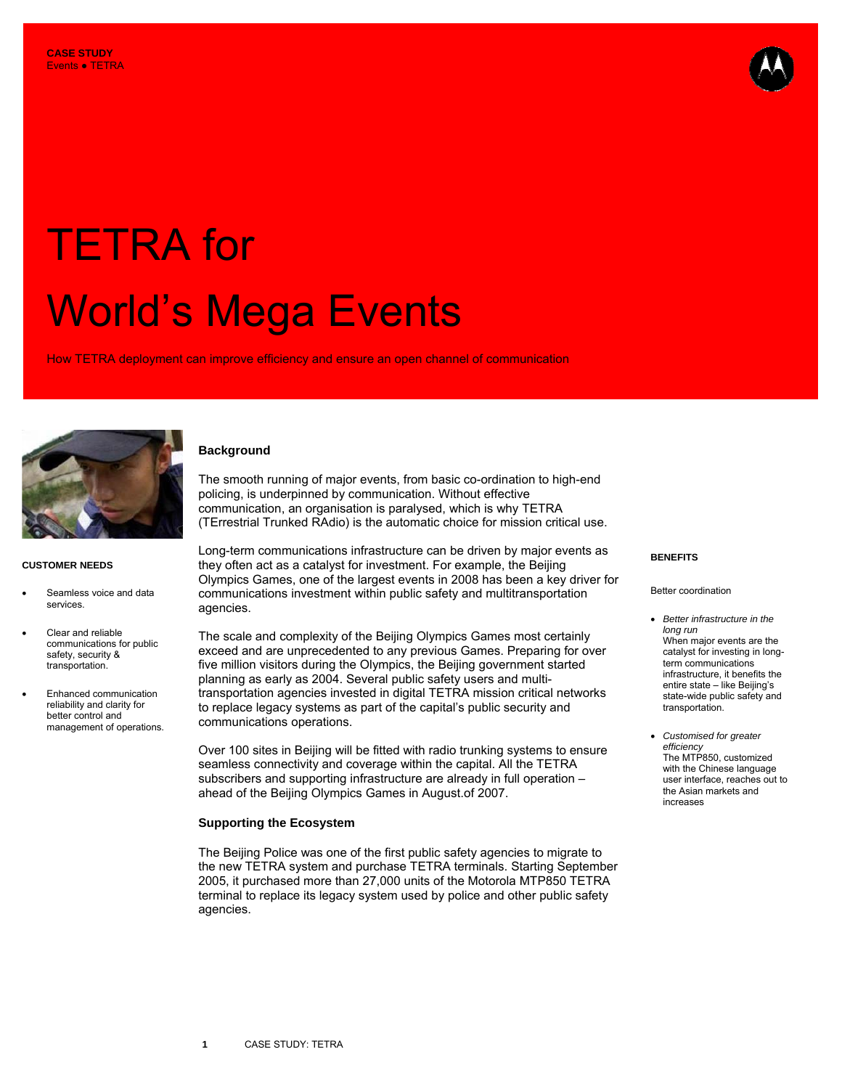

# TETRA for World's Mega Events

How TETRA deployment can improve efficiency and ensure an open channel of communication



# **CUSTOMER NEEDS**

- Seamless voice and data services.
- Clear and reliable communications for public safety, security & transportation.
- Enhanced communication reliability and clarity for better control and management of operations.

# **Background**

The smooth running of major events, from basic co-ordination to high-end policing, is underpinned by communication. Without effective communication, an organisation is paralysed, which is why TETRA (TErrestrial Trunked RAdio) is the automatic choice for mission critical use.

Long-term communications infrastructure can be driven by major events as they often act as a catalyst for investment. For example, the Beijing **BENEFITS**  Olympics Games, one of the largest events in 2008 has been a key driver for communications investment within public safety and multitransportation agencies.

The scale and complexity of the Beijing Olympics Games most certainly exceed and are unprecedented to any previous Games. Preparing for over five million visitors during the Olympics, the Beijing government started planning as early as 2004. Several public safety users and multitransportation agencies invested in digital TETRA mission critical networks to replace legacy systems as part of the capital's public security and communications operations.

Over 100 sites in Beijing will be fitted with radio trunking systems to ensure seamless connectivity and coverage within the capital. All the TETRA subscribers and supporting infrastructure are already in full operation – ahead of the Beijing Olympics Games in August.of 2007.

# **Supporting the Ecosystem**

The Beijing Police was one of the first public safety agencies to migrate to the new TETRA system and purchase TETRA terminals. Starting September 2005, it purchased more than 27,000 units of the Motorola MTP850 TETRA terminal to replace its legacy system used by police and other public safety agencies.

## Better coordination

- *Better infrastructure in the long run* When major events are the catalyst for investing in longterm communications infrastructure, it benefits the entire state – like Beijing's state-wide public safety and transportation.
- *Customised for greater efficiency* The MTP850, customized with the Chinese language user interface, reaches out to the Asian markets and increases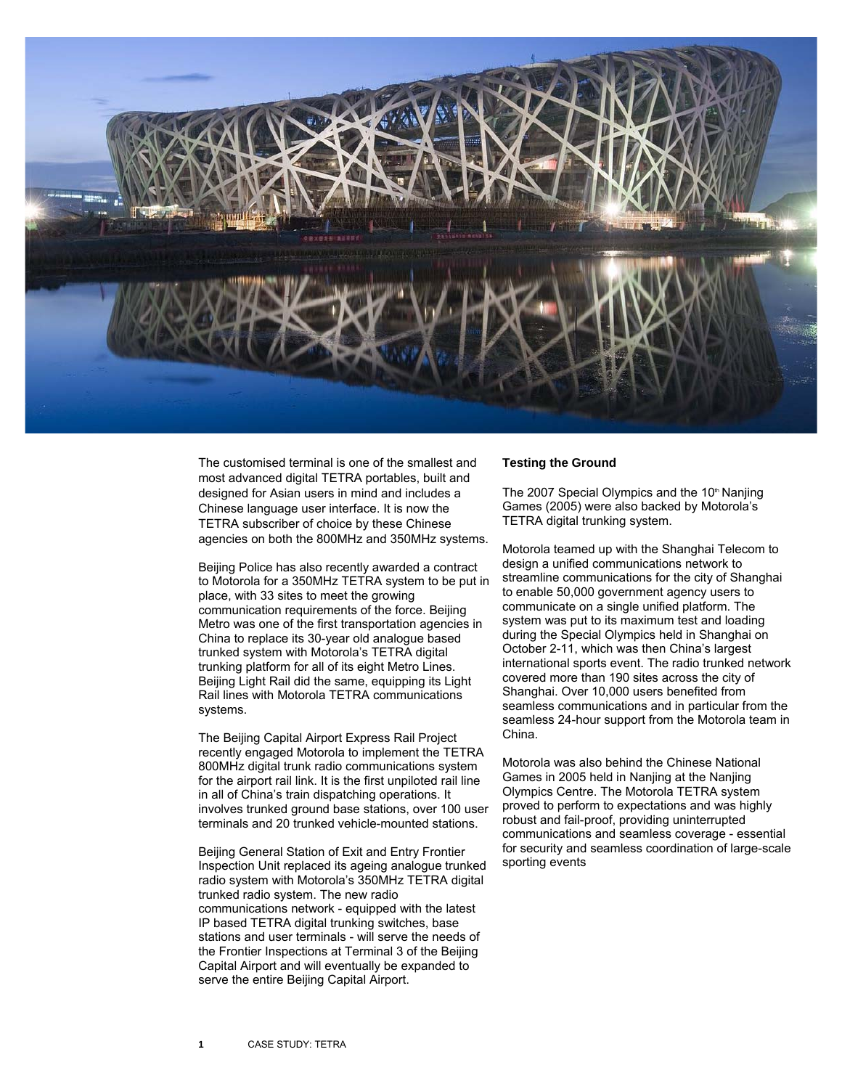

The customised terminal is one of the smallest and most advanced digital TETRA portables, built and designed for Asian users in mind and includes a Chinese language user interface. It is now the TETRA subscriber of choice by these Chinese agencies on both the 800MHz and 350MHz systems.

Beijing Police has also recently awarded a contract to Motorola for a 350MHz TETRA system to be put in place, with 33 sites to meet the growing communication requirements of the force. Beijing Metro was one of the first transportation agencies in China to replace its 30-year old analogue based trunked system with Motorola's TETRA digital trunking platform for all of its eight Metro Lines. Beijing Light Rail did the same, equipping its Light Rail lines with Motorola TETRA communications systems.

The Beijing Capital Airport Express Rail Project recently engaged Motorola to implement the TETRA 800MHz digital trunk radio communications system for the airport rail link. It is the first unpiloted rail line in all of China's train dispatching operations. It involves trunked ground base stations, over 100 user terminals and 20 trunked vehicle-mounted stations.

Beijing General Station of Exit and Entry Frontier Inspection Unit replaced its ageing analogue trunked radio system with Motorola's 350MHz TETRA digital trunked radio system. The new radio communications network - equipped with the latest IP based TETRA digital trunking switches, base stations and user terminals - will serve the needs of the Frontier Inspections at Terminal 3 of the Beijing Capital Airport and will eventually be expanded to serve the entire Beijing Capital Airport.

# **Testing the Ground**

The 2007 Special Olympics and the 10<sup>th</sup> Nanjing Games (2005) were also backed by Motorola's TETRA digital trunking system.

Motorola teamed up with the Shanghai Telecom to design a unified communications network to streamline communications for the city of Shanghai to enable 50,000 government agency users to communicate on a single unified platform. The system was put to its maximum test and loading during the Special Olympics held in Shanghai on October 2-11, which was then China's largest international sports event. The radio trunked network covered more than 190 sites across the city of Shanghai. Over 10,000 users benefited from seamless communications and in particular from the seamless 24-hour support from the Motorola team in China.

Motorola was also behind the Chinese National Games in 2005 held in Nanjing at the Nanjing Olympics Centre. The Motorola TETRA system proved to perform to expectations and was highly robust and fail-proof, providing uninterrupted communications and seamless coverage - essential for security and seamless coordination of large-scale sporting events